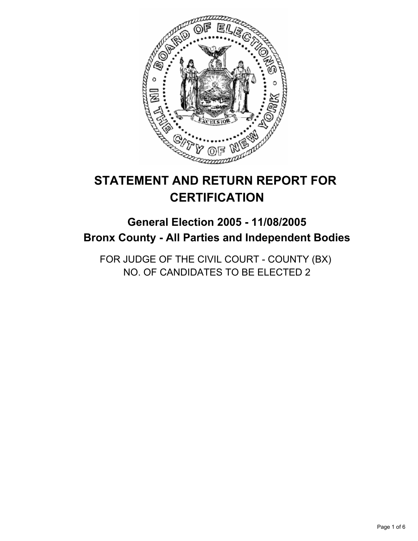

# **STATEMENT AND RETURN REPORT FOR CERTIFICATION**

## **General Election 2005 - 11/08/2005 Bronx County - All Parties and Independent Bodies**

FOR JUDGE OF THE CIVIL COURT - COUNTY (BX) NO. OF CANDIDATES TO BE ELECTED 2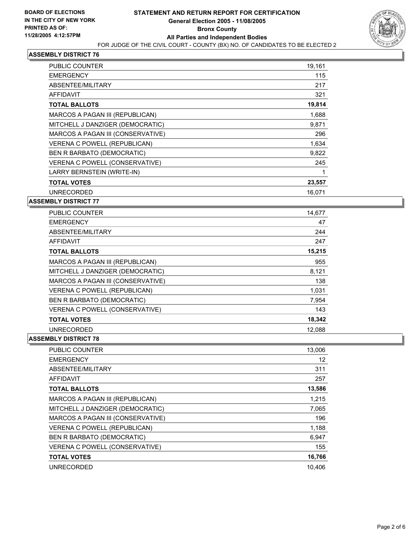

| <b>PUBLIC COUNTER</b>               | 19,161 |
|-------------------------------------|--------|
| <b>EMERGENCY</b>                    | 115    |
| ABSENTEE/MILITARY                   | 217    |
| <b>AFFIDAVIT</b>                    | 321    |
| <b>TOTAL BALLOTS</b>                | 19,814 |
| MARCOS A PAGAN III (REPUBLICAN)     | 1,688  |
| MITCHELL J DANZIGER (DEMOCRATIC)    | 9,871  |
| MARCOS A PAGAN III (CONSERVATIVE)   | 296    |
| <b>VERENA C POWELL (REPUBLICAN)</b> | 1,634  |
| BEN R BARBATO (DEMOCRATIC)          | 9,822  |
| VERENA C POWELL (CONSERVATIVE)      | 245    |
| LARRY BERNSTEIN (WRITE-IN)          |        |
| <b>TOTAL VOTES</b>                  | 23,557 |
| <b>UNRECORDED</b>                   | 16.071 |

#### **ASSEMBLY DISTRICT 77**

| <b>PUBLIC COUNTER</b>             | 14,677 |
|-----------------------------------|--------|
| <b>EMERGENCY</b>                  | 47     |
| ABSENTEE/MILITARY                 | 244    |
| AFFIDAVIT                         | 247    |
| <b>TOTAL BALLOTS</b>              | 15,215 |
| MARCOS A PAGAN III (REPUBLICAN)   | 955    |
| MITCHELL J DANZIGER (DEMOCRATIC)  | 8,121  |
| MARCOS A PAGAN III (CONSERVATIVE) | 138    |
| VERENA C POWELL (REPUBLICAN)      | 1,031  |
| BEN R BARBATO (DEMOCRATIC)        | 7,954  |
| VERENA C POWELL (CONSERVATIVE)    | 143    |
| <b>TOTAL VOTES</b>                | 18,342 |
| <b>UNRECORDED</b>                 | 12,088 |

| <b>PUBLIC COUNTER</b>               | 13,006 |
|-------------------------------------|--------|
| <b>EMERGENCY</b>                    | 12     |
| ABSENTEE/MILITARY                   | 311    |
| <b>AFFIDAVIT</b>                    | 257    |
| <b>TOTAL BALLOTS</b>                | 13,586 |
| MARCOS A PAGAN III (REPUBLICAN)     | 1,215  |
| MITCHELL J DANZIGER (DEMOCRATIC)    | 7,065  |
| MARCOS A PAGAN III (CONSERVATIVE)   | 196    |
| <b>VERENA C POWELL (REPUBLICAN)</b> | 1,188  |
| BEN R BARBATO (DEMOCRATIC)          | 6,947  |
| VERENA C POWELL (CONSERVATIVE)      | 155    |
| <b>TOTAL VOTES</b>                  | 16,766 |
| <b>UNRECORDED</b>                   | 10.406 |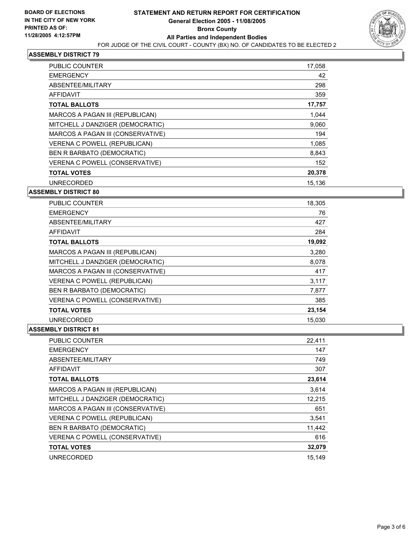

| <b>PUBLIC COUNTER</b>             | 17,058 |
|-----------------------------------|--------|
| <b>EMERGENCY</b>                  | 42     |
| ABSENTEE/MILITARY                 | 298    |
| AFFIDAVIT                         | 359    |
| <b>TOTAL BALLOTS</b>              | 17,757 |
| MARCOS A PAGAN III (REPUBLICAN)   | 1,044  |
| MITCHELL J DANZIGER (DEMOCRATIC)  | 9,060  |
| MARCOS A PAGAN III (CONSERVATIVE) | 194    |
| VERENA C POWELL (REPUBLICAN)      | 1,085  |
| BEN R BARBATO (DEMOCRATIC)        | 8,843  |
| VERENA C POWELL (CONSERVATIVE)    | 152    |
| <b>TOTAL VOTES</b>                | 20,378 |
| <b>UNRECORDED</b>                 | 15,136 |
|                                   |        |

#### **ASSEMBLY DISTRICT 80**

| <b>PUBLIC COUNTER</b>             | 18,305 |
|-----------------------------------|--------|
| <b>EMERGENCY</b>                  | 76     |
| ABSENTEE/MILITARY                 | 427    |
| AFFIDAVIT                         | 284    |
| <b>TOTAL BALLOTS</b>              | 19,092 |
| MARCOS A PAGAN III (REPUBLICAN)   | 3,280  |
| MITCHELL J DANZIGER (DEMOCRATIC)  | 8,078  |
| MARCOS A PAGAN III (CONSERVATIVE) | 417    |
| VERENA C POWELL (REPUBLICAN)      | 3,117  |
| BEN R BARBATO (DEMOCRATIC)        | 7,877  |
| VERENA C POWELL (CONSERVATIVE)    | 385    |
| <b>TOTAL VOTES</b>                | 23,154 |
| <b>UNRECORDED</b>                 | 15,030 |

| <b>PUBLIC COUNTER</b>               | 22,411 |
|-------------------------------------|--------|
| <b>EMERGENCY</b>                    | 147    |
| ABSENTEE/MILITARY                   | 749    |
| <b>AFFIDAVIT</b>                    | 307    |
| <b>TOTAL BALLOTS</b>                | 23,614 |
| MARCOS A PAGAN III (REPUBLICAN)     | 3,614  |
| MITCHELL J DANZIGER (DEMOCRATIC)    | 12,215 |
| MARCOS A PAGAN III (CONSERVATIVE)   | 651    |
| <b>VERENA C POWELL (REPUBLICAN)</b> | 3,541  |
| BEN R BARBATO (DEMOCRATIC)          | 11,442 |
| VERENA C POWELL (CONSERVATIVE)      | 616    |
| <b>TOTAL VOTES</b>                  | 32,079 |
| <b>UNRECORDED</b>                   | 15.149 |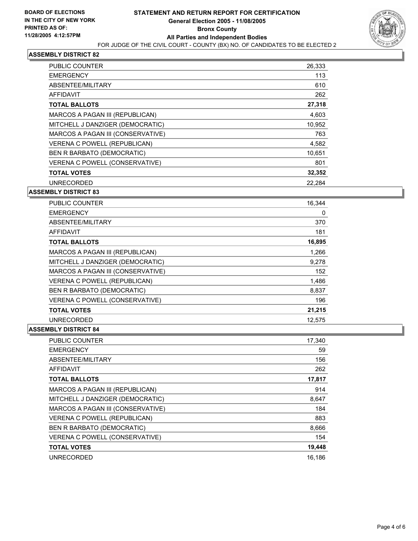

| <b>PUBLIC COUNTER</b>             | 26,333 |
|-----------------------------------|--------|
| <b>EMERGENCY</b>                  | 113    |
| ABSENTEE/MILITARY                 | 610    |
| AFFIDAVIT                         | 262    |
| <b>TOTAL BALLOTS</b>              | 27,318 |
| MARCOS A PAGAN III (REPUBLICAN)   | 4,603  |
| MITCHELL J DANZIGER (DEMOCRATIC)  | 10,952 |
| MARCOS A PAGAN III (CONSERVATIVE) | 763    |
| VERENA C POWELL (REPUBLICAN)      | 4,582  |
| BEN R BARBATO (DEMOCRATIC)        | 10.651 |
| VERENA C POWELL (CONSERVATIVE)    | 801    |
| <b>TOTAL VOTES</b>                | 32,352 |
| <b>UNRECORDED</b>                 | 22,284 |

#### **ASSEMBLY DISTRICT 83**

| <b>PUBLIC COUNTER</b>               | 16,344 |
|-------------------------------------|--------|
| <b>EMERGENCY</b>                    | 0      |
| ABSENTEE/MILITARY                   | 370    |
| AFFIDAVIT                           | 181    |
| TOTAL BALLOTS                       | 16,895 |
| MARCOS A PAGAN III (REPUBLICAN)     | 1,266  |
| MITCHELL J DANZIGER (DEMOCRATIC)    | 9,278  |
| MARCOS A PAGAN III (CONSERVATIVE)   | 152    |
| <b>VERENA C POWELL (REPUBLICAN)</b> | 1,486  |
| BEN R BARBATO (DEMOCRATIC)          | 8,837  |
| VERENA C POWELL (CONSERVATIVE)      | 196    |
| <b>TOTAL VOTES</b>                  | 21,215 |
| <b>UNRECORDED</b>                   | 12,575 |

| <b>PUBLIC COUNTER</b>             | 17,340 |
|-----------------------------------|--------|
| <b>EMERGENCY</b>                  | 59     |
| ABSENTEE/MILITARY                 | 156    |
| AFFIDAVIT                         | 262    |
| <b>TOTAL BALLOTS</b>              | 17,817 |
| MARCOS A PAGAN III (REPUBLICAN)   | 914    |
| MITCHELL J DANZIGER (DEMOCRATIC)  | 8,647  |
| MARCOS A PAGAN III (CONSERVATIVE) | 184    |
| VERENA C POWELL (REPUBLICAN)      | 883    |
| BEN R BARBATO (DEMOCRATIC)        | 8,666  |
| VERENA C POWELL (CONSERVATIVE)    | 154    |
| <b>TOTAL VOTES</b>                | 19,448 |
| <b>UNRECORDED</b>                 | 16,186 |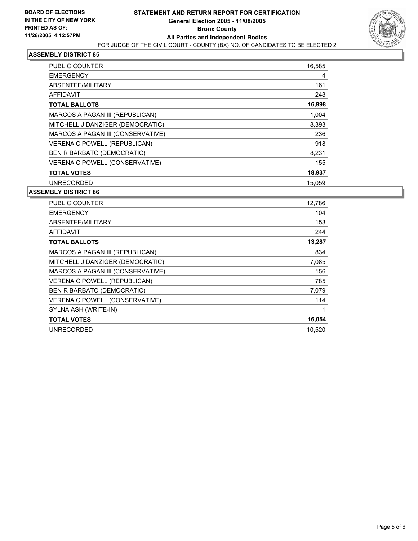

| PUBLIC COUNTER                    | 16,585 |
|-----------------------------------|--------|
| <b>EMERGENCY</b>                  | 4      |
| ABSENTEE/MILITARY                 | 161    |
| AFFIDAVIT                         | 248    |
| <b>TOTAL BALLOTS</b>              | 16,998 |
| MARCOS A PAGAN III (REPUBLICAN)   | 1,004  |
| MITCHELL J DANZIGER (DEMOCRATIC)  | 8,393  |
| MARCOS A PAGAN III (CONSERVATIVE) | 236    |
| VERENA C POWELL (REPUBLICAN)      | 918    |
| BEN R BARBATO (DEMOCRATIC)        | 8,231  |
| VERENA C POWELL (CONSERVATIVE)    | 155    |
| <b>TOTAL VOTES</b>                | 18,937 |
| <b>UNRECORDED</b>                 | 15.059 |

| 12,786 |
|--------|
| 104    |
| 153    |
| 244    |
| 13,287 |
| 834    |
| 7,085  |
| 156    |
| 785    |
| 7,079  |
| 114    |
|        |
| 16,054 |
| 10.520 |
|        |